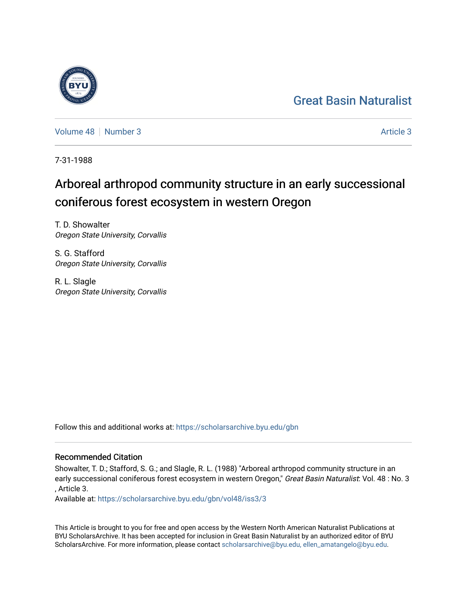## [Great Basin Naturalist](https://scholarsarchive.byu.edu/gbn)

[Volume 48](https://scholarsarchive.byu.edu/gbn/vol48) [Number 3](https://scholarsarchive.byu.edu/gbn/vol48/iss3) [Article 3](https://scholarsarchive.byu.edu/gbn/vol48/iss3/3) Article 3

7-31-1988

# Arboreal arthropod community structure in an early successional coniferous forest ecosystem in western Oregon

T. D. Showalter Oregon State University, Corvallis

S. G. Stafford Oregon State University, Corvallis

R. L. Slagle Oregon State University, Corvallis

Follow this and additional works at: [https://scholarsarchive.byu.edu/gbn](https://scholarsarchive.byu.edu/gbn?utm_source=scholarsarchive.byu.edu%2Fgbn%2Fvol48%2Fiss3%2F3&utm_medium=PDF&utm_campaign=PDFCoverPages) 

### Recommended Citation

Showalter, T. D.; Stafford, S. G.; and Slagle, R. L. (1988) "Arboreal arthropod community structure in an early successional coniferous forest ecosystem in western Oregon," Great Basin Naturalist: Vol. 48 : No. 3 , Article 3.

Available at: [https://scholarsarchive.byu.edu/gbn/vol48/iss3/3](https://scholarsarchive.byu.edu/gbn/vol48/iss3/3?utm_source=scholarsarchive.byu.edu%2Fgbn%2Fvol48%2Fiss3%2F3&utm_medium=PDF&utm_campaign=PDFCoverPages)

This Article is brought to you for free and open access by the Western North American Naturalist Publications at BYU ScholarsArchive. It has been accepted for inclusion in Great Basin Naturalist by an authorized editor of BYU ScholarsArchive. For more information, please contact [scholarsarchive@byu.edu, ellen\\_amatangelo@byu.edu.](mailto:scholarsarchive@byu.edu,%20ellen_amatangelo@byu.edu)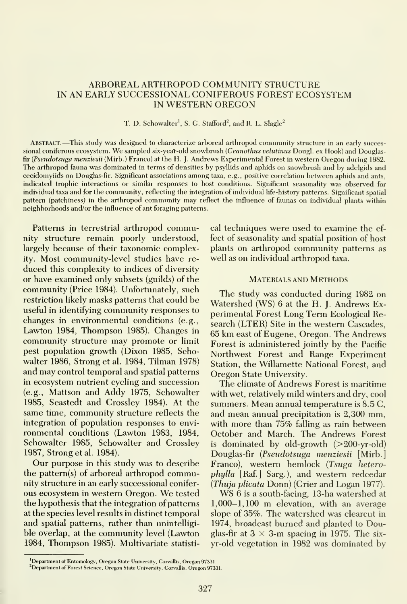#### ARBOREAL ARTHROPOD COMMUNITY STRUCTURE IN AN EARLY SUCCESSIONAL CONIFEROUS FOREST ECOSYSTEM IN WESTERN OREGON

T. D. Schowalter<sup>1</sup>, S. G. Stafford<sup>2</sup>, and R. L. Slagle<sup>2</sup>

Abstract. —This study was designed to characterize arboreal arthropod community structure in an early successional coniferous ecosystem. We sampled six-year-old snowbrush (Ceanothus velutinus Dougl. ex Hook) and Douglasfir (Pseudotsuga menziesii (Mirb.) Franco) at the H. J. Andrews Experimental Forest in western Oregon during 1982. The arthropod fauna was dominated in terms of densities by psyllids and aphids on snowbrush and by adelgids and cecidomyiids on Douglas-fir. Significant associations among taxa, e.g., positive correlation between aphids and ants, indicated trophic interactions or similar responses to host conditions. Significant seasonality was observed for individual taxa and for the community, reflecting the integration of individual life-history patterns. Significant spatial pattern (patchiness) in the arthropod community may reflect the influence of faunas on individual plants within neighborhoods and/or the influence of ant foraging patterns.

Patterns in terrestrial arthropod community structure remain poorly understood, largely because of their taxonomic complexity. Most community-level studies have re duced this complexity to indices of diversity or have examined only subsets (guilds) of the community (Price 1984). Unfortunately, such restriction likely masks patterns that could be useful in identifying community responses to changes in environmental conditions (e.g., Lawton 1984, Thompson 1985). Changes in community structure may promote or limit pest population growth (Dixon 1985, Schowalter 1986, Strong et al. 1984, Tilman 1978) and may control temporal and spatial patterns in ecosystem nutrient cycling and succession (e.g., Mattson and Addy 1975, Schowalter 1985, Seastedt and Crossley 1984). At the same time, community structure reflects the integration of population responses to environmental conditions (Lawton 1983, 1984, Schowalter 1985, Schowalter and Crossley 1987, Strong et al. 1984).

Our purpose in this study was to describe the pattern(s) of arboreal arthropod community structure in an early successional conifer ous ecosystem in western Oregon. We tested the hypothesis that the integration of patterns at the species level results in distinct temporal and spatial patterns, rather than unintelligible overlap, at the community level (Lawton 1984, Thompson 1985). Multivariate statistical techniques were used to examine the ef fect of seasonality and spatial position of host plants on arthropod community patterns as well as on individual arthropod taxa.

#### Materials and Methods

The study was conducted during 1982 on Watershed (WS) 6 at the H. J. Andrews Experimental Forest Long Term Ecological Research (LTER) Site in the western Cascades, 65 km east of Eugene, Oregon. The Andrews Forest is administered jointly by the Pacific Northwest Forest and Range Experiment Station, the Willamette National Forest, and Oregon State University.

The climate of Andrews Forest is maritime with wet, relatively mild winters and dry, cool summers. Mean annual temperature is 8.5 C, and mean annual precipitation is 2,300 mm, with more than 75% falling as rain between October and March. The Andrews Forest is dominated by old-growth  $(>200-yr-old)$ Douglas-fir {Pseudotsuga menziesii [Mirb.] Franco), western hemlock (Tsuga heterophylla [Raf.] Sarg.), and western redcedar {Thuja plicata Donn) (Crier and Logan 1977).

WS <sup>6</sup> is <sup>a</sup> south-facing, 13-ha watershed at 1,000-1,100 m elevation, with an average slope of 35%. The watershed was clearcut in 1974, broadcast burned and planted to Douglas-fir at  $3 \times 3$ -m spacing in 1975. The sixyr-old vegetation in 1982 was dominated by

<sup>&</sup>lt;sup>1</sup>Department of Entomology, Oregon State University, Corvallis, Oregon 97331.

<sup>&</sup>lt;sup>2</sup>Department of Forest Science, Oregon State University, Corvallis, Oregon 97331.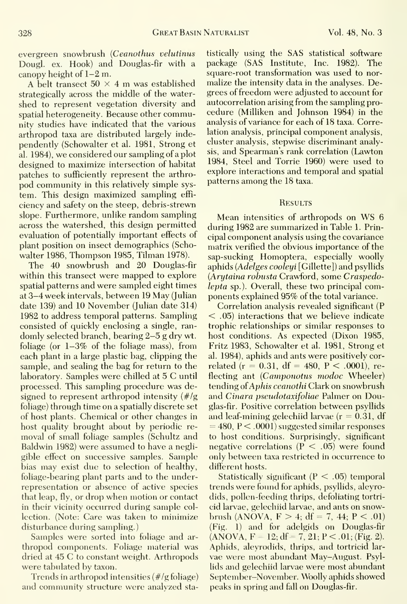evergreen snowbrush {Ceanothus velutinus Dougl. ex. Hook) and Douglas-fir with a canopy height of 1-2 m.

A belt transect  $50 \times 4$  m was established strategically across the middle of the water shed to represent vegetation diversity and spatial heterogeneity. Because other community studies have indicated that the various arthropod taxa are distributed largely independently (Schowalter et al. 1981, Strong et al. 1984), we considered our sampling of <sup>a</sup> plot designed to maximize intersection of habitat patches to sufficiently represent the arthro pod community in this relatively simple sys tem. This design maximized sampling effi ciency and safety on the steep, debris-strewn slope. Furthermore, unlike random sampling across the watershed, this design permitted evaluation of potentially important effects of plant position on insect demographics (Schowalter 1986, Thompson 1985, Tilman 1978).

The 40 snowbrush and 20 Douglas-fir within this transect were mapped to explore spatial patterns and were sampled eight times at 3-4 week intervals, between 19 May (Julian date 139) and 10 November (Julian date 314) 1982 to address temporal patterns. Sampling consisted of quickly enclosing a single, ran domly selected branch, bearing 2-5 g dry wt. foliage (or 1-3% of the foliage mass), from each plant in a large plastic bag, clipping the sample, and sealing the bag for return to the laboratory. Samples were chilled at <sup>5</sup> C until processed. This sampling procedure was designed to represent arthropod intensity  $(\frac{t}{g})$ foliage) through time on a spatially discrete set of host plants. Chemical or other changes in host quality brought about by periodic removal of small foliage samples (Schultz and Baldwin 1982) were assumed to have a negligible effect on successive samples. Sample bias may exist due to selection of healthy, foliage-bearing plant parts and to the underrepresentation or absence of active species that leap, fly, or drop when motion or contact in their vicinity occurred during sample col lection. (Note: Care was taken to minimize disturbance during sampling.)

Samples were sorted into foliage and ar thropod components. Foliage material was dried at 45 C to constant weight. Arthropods were tabulated by taxon.

Trends in arthropod intensities (#/g foliage) and community structure were analyzed statistically using the SAS statistical software package (SAS Institute, Inc. 1982). The square-root transformation was used to nor malize the intensity data in the analyses. Degrees of freedom were adjusted to account for autocorrelation arising from the sampling pro cedure (Milliken and Johnson 1984) in the analysis of variance for each of 18 taxa. Correlation analysis, principal component analysis, cluster analysis, stepwise discriminant analysis, and Spearman's rank correlation (Lawton 1984, Steel and Torrie 1960) were used to explore interactions and temporal and spatial patterns among the 18 taxa.

#### **RESULTS**

Mean intensities of arthropods on WS <sup>6</sup> during 1982 are summarized in Table 1. Principal component analysis using the covariance matrix verified the obvious importance of the sap-sucking Homoptera, especially woolly aphids (Adelges cooleyi [Gillette]) and psyllids {Arytaina rohusta Crawford, some Craspedolepta sp.). Overall, these two principal components explained 95% of the total variance.

Correlation analysis revealed significant (P < .05) interactions that we believe indicate trophic relationships or similar responses to host conditions. As expected (Dixon 1985, Fritz 1983, Schowalter et al. 1981, Strong et al. 1984), aphids and ants were positively cor related ( $r = 0.31$ , df = 480, P < .0001), reflecting ant (Camponotus modoc Wheeler) tending of Aphis ceanothi Clark on snowbrush and Cinara pseudotaxifoliae Palmer on Douglas-fir. Positive correlation between psyllids and leaf-mining gelechiid larvae  $(r = 0.31, df)$  $= 480, P < .0001$  suggested similar responses to host conditions. Surprisingly, significant negative correlations  $(P < .05)$  were found only between taxa restricted in occurrence to different hosts.

Statistically significant  $(P < .05)$  temporal trends were found for aphids, psyllids, aleyrodids, pollen-feeding thrips, defoliating tortri cid larvae, gelechiid larvae, and ants on snowbrush (ANOVA,  $F > 4$ ; df = 7, 44;  $P < .01$ ) (Fig. 1) and for adelgids on Douglas-fir  $(ANOVA, F = 12; df = 7, 21; P < .01; (Fig. 2).$ Aphids, aleyrodids, thrips, and tortricid lar vae were most abundant May-August. Psyllids and gelechiid larvae were most abundant September-November. Woolly aphids showed peaks in spring and fall on Douglas-fir.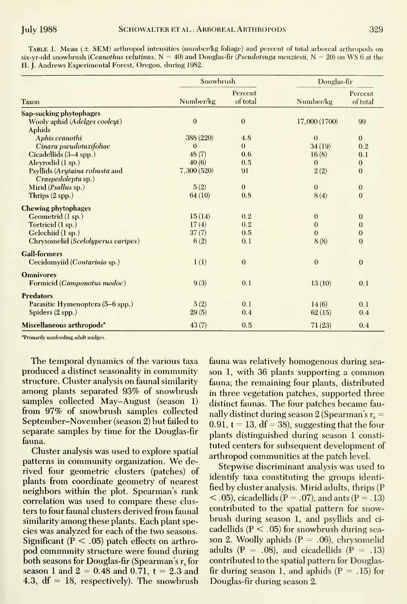Table 1. Mean (± SEM) arthropod intensities (number/kg foliage) and percent of total arboreal arthropods on six-yr-old snowbrush (Ceanothus velutinus,  $N = 40$ ) and Douglas-fir (Pseudotsuga menziesii,  $N = 20$ ) on WS 6 at the H. J. Andrews Experimental Forest, Oregon, during 1982.

| <b>Taxon</b>                                      | Snowbrush    |                     | Douglas-fir   |                     |
|---------------------------------------------------|--------------|---------------------|---------------|---------------------|
|                                                   | Number/kg    | Percent<br>of total | Number/kg     | Percent<br>of total |
| Sap-sucking phytophages                           |              |                     |               |                     |
| Wooly aphid (Adelges cooleyi)                     | $\mathbf{0}$ | $\boldsymbol{0}$    | 17,000 (1700) | 99                  |
| Aphids                                            |              |                     |               |                     |
| Aphis ceanothi                                    | 388 (220)    | 4.8                 | $\theta$      | $\mathbf{0}$        |
| Cinara pseudotaxifoliae                           | 0            | $\Omega$            | 34(19)        | 0.2                 |
| Cicadellids (3–4 spp.)                            | 48(7)        | 0.6                 | 16(8)         | 0.1                 |
| Aleyrodid (1 sp.)                                 | 40(6)        | 0.5                 | $\mathbf{0}$  | $\mathbf{0}$        |
| Psyllids (Arytaina robusta and                    | 7,300 (520)  | 91                  | 2(2)          | $\theta$            |
| Craspedolepta sp.)<br>Mirid ( <i>Psallus</i> sp.) | 5(2)         | $\mathbf{0}$        | $\theta$      | $\mathbf{0}$        |
| Thrips $(2$ spp.)                                 | 64(10)       | 0.8                 | 8(4)          | $\overline{0}$      |
| <b>Chewing phytophages</b>                        |              |                     |               |                     |
| Geometrid (1 sp.)                                 | 15(14)       | 0.2                 | $\bf{0}$      | $\bf{0}$            |
| Tortricid (1 sp.)                                 | 17(4)        | 0.2                 | $\mathbf{0}$  | $\bf{0}$            |
| Gelechiid (1 sp.)                                 | 37(7)        | 0.5                 | $\mathbf{0}$  | $\theta$            |
| Chrysomelid (Scelolyperus varipes)                | 6(2)         | 0.1                 | 8(8)          | $\Omega$            |
| <b>Gall-formers</b>                               |              |                     |               |                     |
| Cecidomyiid (Contarinia sp.)                      | 1(1)         | $\bf{0}$            | $\theta$      | $\theta$            |
| <b>Omnivores</b>                                  |              |                     |               |                     |
| Formicid (Camponotus modoc)                       | 9(3)         | 0.1                 | 13(10)        | 0.1                 |
| <b>Predators</b>                                  |              |                     |               |                     |
| Parasitic Hymenoptera (5-6 spp.)                  | 5(2)         | 0.1                 | 14(6)         | 0.1                 |
| Spiders $(2$ spp.)                                | 29(5)        | 0.4                 | 62(15)        | 0.4                 |
| Miscellaneous arthropods <sup>a</sup>             | 43(7)        | 0.5                 | 71(23)        | 0.4                 |

<sup>a</sup>Primarily nonfeeding adult midges

The temporal dynamics of the various taxa produced a distinct seasonality in community structure. Cluster analysis on faunal similarity among plants separated 93% of snowbrush samples collected May–August (season 1) from 97% of snowbrush samples collected September–November (season 2) but failed to separate samples by time for the Douglas-fir fauna.

Cluster analysis was used to explore spatial patterns in community organization. We derived four geometric clusters (patches) of plants from coordinate geometry of nearest neighbors within the plot. Spearman's rank correlation was used to compare these clusters to four faunal clusters derived from faunal similarity among these plants. Each plant species was analyzed for each of the two seasons. Significant ( $P < .05$ ) patch effects on arthropod community structure were found during both seasons for Douglas-fir (Spearman's r, for season 1 and  $2 = 0.48$  and 0.71,  $t = 2.3$  and 4.3,  $df = 18$ , respectively). The snowbrush fauna was relatively homogenous during season 1, with 36 plants supporting a common fauna; the remaining four plants, distributed in three vegetation patches, supported three distinct faunas. The four patches became faunally distinct during season 2 (Spearman's  $r_s =$ 0.91,  $t = 13$ ,  $df = 38$ ), suggesting that the four plants distinguished during season 1 constituted centers for subsequent development of arthropod communities at the patch level.

Stepwise discriminant analysis was used to identify taxa constituting the groups identified by cluster analysis. Mirid adults, thrips (P  $\langle 0.05 \rangle$ , cicadellids (P = .07), and ants (P = .13) contributed to the spatial pattern for snowbrush during season 1, and psyllids and cicadellids ( $P < .05$ ) for snowbrush during season 2. Woolly aphids ( $P = .06$ ), chrysomelid adults ( $P = .08$ ), and cicadellids ( $P = .13$ ) contributed to the spatial pattern for Douglasfir during season 1, and aphids  $(P = .15)$  for Douglas-fir during season 2.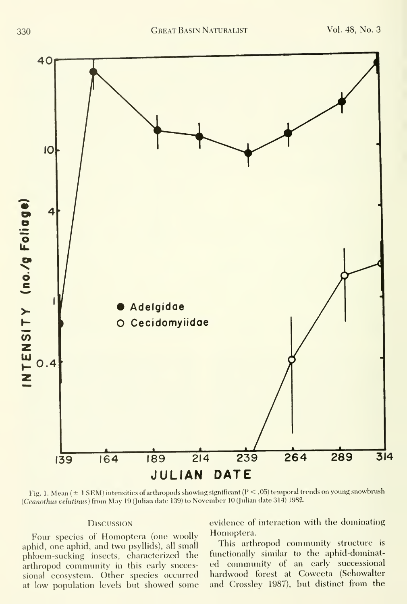

Fig. 1. Mean ( $\pm$  1 SEM) intensities of arthropods showing significant (P < .05) temporal trends on young snowbrush {Ceanothus velutinus) from May <sup>19</sup> (Julian date 139) to November <sup>10</sup> (Julian date 314) 1982.

#### **DISCUSSION**

Four species of Homoptera (one woolly aphid, one aphid, and two psyllids), all small phloem-sucking insects, characterized the arthropod community in this early successional ecosystem. Other species occurred at low population levels but showed some evidence of interaction with the dominating Homoptera.

This arthropod community structure is functionally similar to the aphid-dominated community of an early successional hardwood forest at Coweeta (Schowalter and Crossley 1987), but distinct from the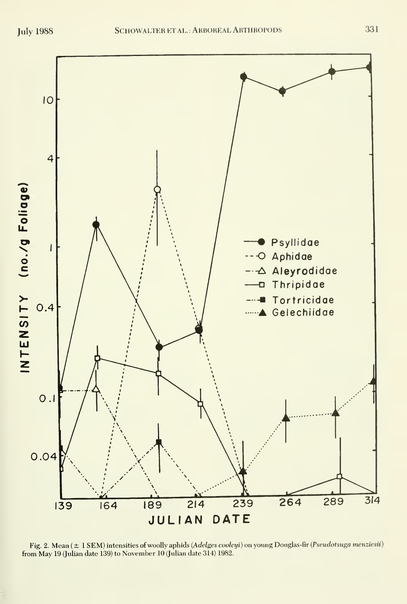

Fig. 2. Mean ( $\pm$  1 SEM) intensities of woolly aphids (Adelges cooleyi) on young Douglas-fir (Pseudotsuga menziesii) from May 19 (Julian date 139) to November 10 (Julian date 314) 1982.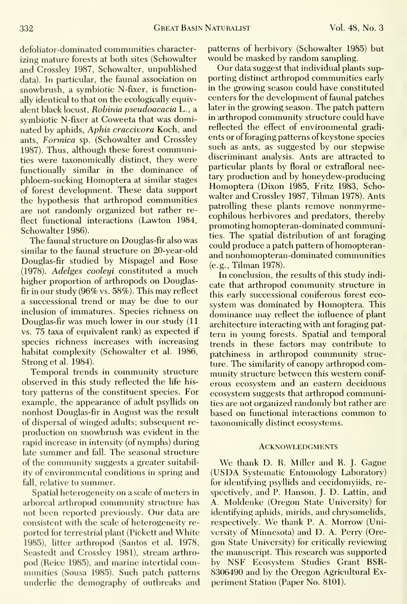defoliator-dominated communities characterizing mature forests at both sites (Schowalter and Crossley 1987, Schowalter, unpublished data). In particular, the faunal association on snowbrush, a symbiotic N-fixer, is functionally identical to that on the ecologically equivalent black locust, Robinia pseudoacacia L., a symbiotic N-fixer at Coweeta that was dominated by aphids. Aphis craccivora Koch, and ants, Formica sp. (Schowalter and Crossley 1987). Thus, although these forest communities were taxonomically distinct, they were functionally similar in the dominance of phloem-sucking Homoptera at similar stages of forest development. These data support the hypothesis that arthropod communities are not randomly organized but rather reflect functional interactions (Lawton 1984, Schowalter 1986).

The faunal structure on Douglas-fir also was similar to the faunal structure on 20-year-old Douglas-fir studied by Mispagel and Rose (1978). Adelges cooleyi constituted a much higher proportion of arthropods on Douglasfir in our study (96% vs. 58%). This may reflect a successional trend or may be due to our inclusion of immatures. Species richness on Douglas-fir was much lower in our study (11 vs. 75 taxa of equivalent rank) as expected if species richness increases with increasing habitat complexity (Schowalter et al. 1986, Strong et al. 1984).

Temporal trends in community structure observed in this study reflected the life his tory patterns of the constituent species. For example, the appearance of adult psyllids on nonhost Douglas-fir in August was the result of dispersal of winged adults; subsequent re production on snowbrush was evident in the rapid increase in intensity (of nymphs) during late summer and fall. The seasonal structure of the community suggests a greater suitability of environmental conditions in spring and fall, relative to summer.

Spatial heterogeneity on a scale of meters in arboreal arthropod community structure has not been reported previously. Our data are consistent with the scale of heterogeneity re ported for terrestrial plant (Pickett and White 1985), litter arthropod (Santos et al. 1978, Seastedt and Crossley 1981), stream arthro pod (Reice 1985), and marine intertidal communities (Sousa 1985). Such patch patterns underlie the demography of outbreaks and patterns of herbivory (Schowalter 1985) but would be masked by random sampling.

Our data suggest that individual plants sup porting distinct arthropod communities early in the growing season could have constituted centers for the development of faunal patches later in the growing season. The patch pattern in arthropod community structure could have reflected the effect of environmental gradi ents or of foraging patterns of keystone species such as ants, as suggested by our stepwise discriminant analysis. Ants are attracted to particular plants by floral or extrafloral nectary production and by honeydew-producing Homoptera (Dixon 1985, Fritz 1983, Schowalter and Crossley 1987, Tilman 1978). Ants patrolling these plants remove nonmyrmecophilous herbivores and predators, thereby promoting homopteran-dominated communities. The spatial distribution of ant foraging could produce a patch pattern of homopteranand nonhomopteran-dominated communities (e.g., Tilman 1978).

In conclusion, the results of this study indi cate that arthropod community structure in this early successional coniferous forest eco system was dominated by Homoptera. This dominance may reflect the influence of plant architecture interacting with ant foraging pat tern in young forests. Spatial and temporal trends in these factors may contribute to patchiness in arthropod community structure. The similarity of canopy arthropod community structure between this western conif erous ecosystem and an eastern deciduous ecosystem suggests that arthropod communities are not organized randomly but rather are based on functional interactions common to taxonomically distinct ecosystems.

#### **ACKNOWLEDGMENTS**

We thank D. R. Miller and R. J. Gagne (US DA Systematic Entomology Laboratory) for identifying psyllids and cecidomyiids, re spectively, and P. Hanson, J. D. Lattin, and A. Moldenke (Oregon State University) for identifying aphids, mirids, and chrysomelids, respectively. We thank P. A. Morrow (University of Minnesota) and D. A. Perry (Oregon State University) for critically reviewing the manuscript. This research was supported by NSF Ecosystem Studies Grant BSR-8306490 and by the Oregon Agricultural Ex periment Station (Paper No. 8101).